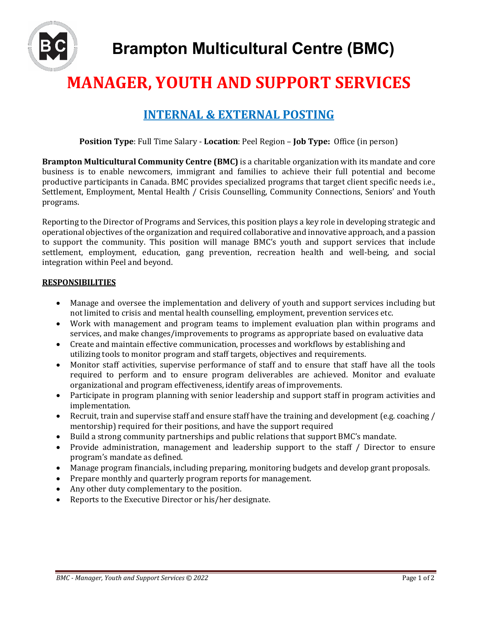

# **MANAGER, YOUTH AND SUPPORT SERVICES**

# **INTERNAL & EXTERNAL POSTING**

**Position Type**: Full Time Salary - **Location**: Peel Region – **Job Type:** Office (in person)

**Brampton Multicultural Community Centre (BMC)** is a charitable organization with its mandate and core business is to enable newcomers, immigrant and families to achieve their full potential and become productive participants in Canada. BMC provides specialized programs that target client specific needs i.e., Settlement, Employment, Mental Health / Crisis Counselling, Community Connections, Seniors' and Youth programs.

Reporting to the Director of Programs and Services, this position plays a key role in developing strategic and operational objectives of the organization and required collaborative and innovative approach, and a passion to support the community. This position will manage BMC's youth and support services that include settlement, employment, education, gang prevention, recreation health and well-being, and social integration within Peel and beyond.

#### **RESPONSIBILITIES**

- Manage and oversee the implementation and delivery of youth and support services including but not limited to crisis and mental health counselling, employment, prevention services etc.
- Work with management and program teams to implement evaluation plan within programs and services, and make changes/improvements to programs as appropriate based on evaluative data
- Create and maintain effective communication, processes and workflows by establishing and utilizing tools to monitor program and staff targets, objectives and requirements.
- Monitor staff activities, supervise performance of staff and to ensure that staff have all the tools required to perform and to ensure program deliverables are achieved. Monitor and evaluate organizational and program effectiveness, identify areas of improvements.
- Participate in program planning with senior leadership and support staff in program activities and implementation.
- Recruit, train and supervise staff and ensure staff have the training and development (e.g. coaching / mentorship) required for their positions, and have the support required
- Build a strong community partnerships and public relations that support BMC's mandate.
- Provide administration, management and leadership support to the staff / Director to ensure program's mandate as defined.
- Manage program financials, including preparing, monitoring budgets and develop grant proposals.
- Prepare monthly and quarterly program reports for management.
- Any other duty complementary to the position.
- Reports to the Executive Director or his/her designate.